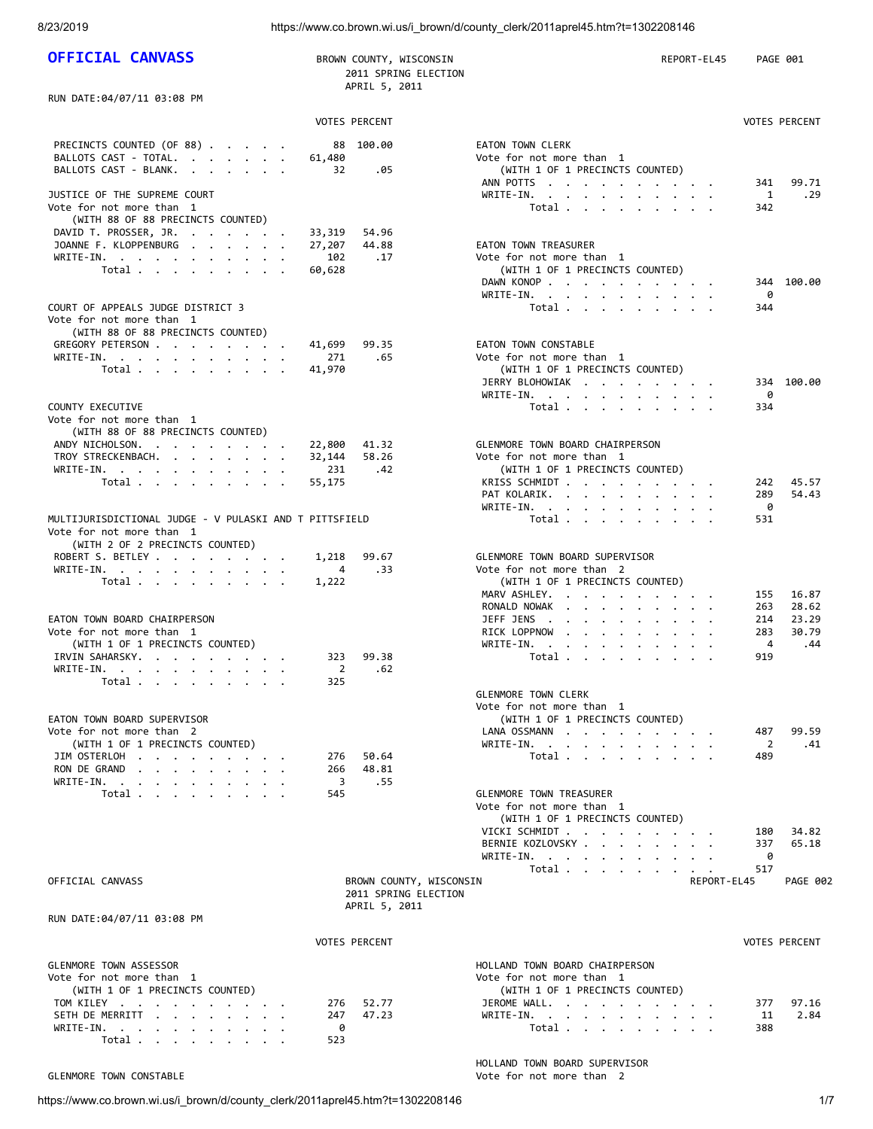| <b>OFFICIAL CANVASS</b>                                                                                                                                                                                                                                                            |               | BROWN COUNTY, WISCONSIN<br>2011 SPRING ELECTION<br>APRIL 5, 2011 | REPORT-EL45                                                                                                                                                                                                                                           | <b>PAGE 001</b>                       |
|------------------------------------------------------------------------------------------------------------------------------------------------------------------------------------------------------------------------------------------------------------------------------------|---------------|------------------------------------------------------------------|-------------------------------------------------------------------------------------------------------------------------------------------------------------------------------------------------------------------------------------------------------|---------------------------------------|
| RUN DATE:04/07/11 03:08 PM                                                                                                                                                                                                                                                         |               |                                                                  |                                                                                                                                                                                                                                                       |                                       |
|                                                                                                                                                                                                                                                                                    |               | <b>VOTES PERCENT</b>                                             |                                                                                                                                                                                                                                                       | <b>VOTES PERCENT</b>                  |
| PRECINCTS COUNTED (OF 88)                                                                                                                                                                                                                                                          |               | 88 100.00                                                        | <b>EATON TOWN CLERK</b>                                                                                                                                                                                                                               |                                       |
| BALLOTS CAST - TOTAL.                                                                                                                                                                                                                                                              | 61,480        |                                                                  | Vote for not more than 1                                                                                                                                                                                                                              |                                       |
| BALLOTS CAST - BLANK.                                                                                                                                                                                                                                                              | 32            | .05                                                              | (WITH 1 OF 1 PRECINCTS COUNTED)                                                                                                                                                                                                                       |                                       |
| JUSTICE OF THE SUPREME COURT                                                                                                                                                                                                                                                       |               |                                                                  | ANN POTTS<br>WRITE-IN.                                                                                                                                                                                                                                | 99.71<br>341<br>1<br>.29              |
| Vote for not more than 1                                                                                                                                                                                                                                                           |               |                                                                  | Total                                                                                                                                                                                                                                                 | 342                                   |
| (WITH 88 OF 88 PRECINCTS COUNTED)                                                                                                                                                                                                                                                  |               |                                                                  |                                                                                                                                                                                                                                                       |                                       |
| DAVID T. PROSSER, JR.                                                                                                                                                                                                                                                              | 33,319        | 54.96                                                            |                                                                                                                                                                                                                                                       |                                       |
| JOANNE F. KLOPPENBURG<br>WRITE-IN.                                                                                                                                                                                                                                                 | 27,207<br>102 | 44.88<br>.17                                                     | EATON TOWN TREASURER<br>Vote for not more than 1                                                                                                                                                                                                      |                                       |
| Total                                                                                                                                                                                                                                                                              | 60,628        |                                                                  | (WITH 1 OF 1 PRECINCTS COUNTED)                                                                                                                                                                                                                       |                                       |
|                                                                                                                                                                                                                                                                                    |               |                                                                  | DAWN KONOP                                                                                                                                                                                                                                            | 100.00<br>344                         |
|                                                                                                                                                                                                                                                                                    |               |                                                                  | WRITE-IN.                                                                                                                                                                                                                                             | 0                                     |
| COURT OF APPEALS JUDGE DISTRICT 3<br>Vote for not more than 1                                                                                                                                                                                                                      |               |                                                                  | Total                                                                                                                                                                                                                                                 | 344                                   |
| (WITH 88 OF 88 PRECINCTS COUNTED)                                                                                                                                                                                                                                                  |               |                                                                  |                                                                                                                                                                                                                                                       |                                       |
| GREGORY PETERSON                                                                                                                                                                                                                                                                   | 41,699        | 99.35                                                            | EATON TOWN CONSTABLE                                                                                                                                                                                                                                  |                                       |
| WRITE-IN.                                                                                                                                                                                                                                                                          | 271           | .65                                                              | Vote for not more than 1                                                                                                                                                                                                                              |                                       |
| Total $\cdots$ $\cdots$ $\cdots$                                                                                                                                                                                                                                                   | 41,970        |                                                                  | (WITH 1 OF 1 PRECINCTS COUNTED)<br>JERRY BLOHOWIAK                                                                                                                                                                                                    | 100.00<br>334                         |
|                                                                                                                                                                                                                                                                                    |               |                                                                  | WRITE-IN.                                                                                                                                                                                                                                             | 0                                     |
| COUNTY EXECUTIVE                                                                                                                                                                                                                                                                   |               |                                                                  | Total $\cdots$ $\cdots$ $\cdots$                                                                                                                                                                                                                      | 334                                   |
| Vote for not more than 1                                                                                                                                                                                                                                                           |               |                                                                  |                                                                                                                                                                                                                                                       |                                       |
| (WITH 88 OF 88 PRECINCTS COUNTED)<br>ANDY NICHOLSON.                                                                                                                                                                                                                               | 22,800        | 41.32                                                            | GLENMORE TOWN BOARD CHAIRPERSON                                                                                                                                                                                                                       |                                       |
| TROY STRECKENBACH.                                                                                                                                                                                                                                                                 | 32,144        | 58.26                                                            | Vote for not more than 1                                                                                                                                                                                                                              |                                       |
| WRITE-IN.                                                                                                                                                                                                                                                                          | 231           | .42                                                              | (WITH 1 OF 1 PRECINCTS COUNTED)                                                                                                                                                                                                                       |                                       |
| Total $\cdots$ $\cdots$ $\cdots$                                                                                                                                                                                                                                                   | 55,175        |                                                                  | KRISS SCHMIDT                                                                                                                                                                                                                                         | 45.57<br>242<br>289                   |
|                                                                                                                                                                                                                                                                                    |               |                                                                  | PAT KOLARIK.<br>WRITE-IN.                                                                                                                                                                                                                             | 54.43<br>0                            |
| MULTIJURISDICTIONAL JUDGE - V PULASKI AND T PITTSFIELD                                                                                                                                                                                                                             |               |                                                                  | Total                                                                                                                                                                                                                                                 | 531                                   |
| Vote for not more than 1                                                                                                                                                                                                                                                           |               |                                                                  |                                                                                                                                                                                                                                                       |                                       |
| (WITH 2 OF 2 PRECINCTS COUNTED)<br>ROBERT S. BETLEY                                                                                                                                                                                                                                | 1,218         | 99.67                                                            | GLENMORE TOWN BOARD SUPERVISOR                                                                                                                                                                                                                        |                                       |
| WRITE-IN.                                                                                                                                                                                                                                                                          | 4             | .33                                                              | Vote for not more than 2                                                                                                                                                                                                                              |                                       |
| Total $\cdots$ $\cdots$ $\cdots$                                                                                                                                                                                                                                                   | 1,222         |                                                                  | (WITH 1 OF 1 PRECINCTS COUNTED)                                                                                                                                                                                                                       |                                       |
|                                                                                                                                                                                                                                                                                    |               |                                                                  | MARV ASHLEY.                                                                                                                                                                                                                                          | 16.87<br>155                          |
| EATON TOWN BOARD CHAIRPERSON                                                                                                                                                                                                                                                       |               |                                                                  | RONALD NOWAK<br>$\mathbf{r}$ , and $\mathbf{r}$ , and $\mathbf{r}$ , and $\mathbf{r}$<br>JEFF JENS<br>the contract of the contract of the contract of the contract of the contract of the contract of the contract of                                 | 28.62<br>263<br>23.29<br>214          |
| Vote for not more than 1                                                                                                                                                                                                                                                           |               |                                                                  | RICK LOPPNOW<br>$\mathbf{a}$ and $\mathbf{a}$ are a set of the set of the set of the set of the set of the set of the set of the set of the set of the set of the set of the set of the set of the set of the set of the set of the set of the set of | 283<br>30.79                          |
| (WITH 1 OF 1 PRECINCTS COUNTED)                                                                                                                                                                                                                                                    |               |                                                                  | WRITE-IN.<br>and the contract of the contract of the contract of the contract of the contract of the contract of the contract of the contract of the contract of the contract of the contract of the contract of the contract of the contra           | 4<br>.44                              |
| IRVIN SAHARSKY.                                                                                                                                                                                                                                                                    | 323           | 99.38                                                            | Total .<br>$\mathbf{a}$ , and $\mathbf{a}$                                                                                                                                                                                                            | 919                                   |
| WRITE-IN.<br>the contract of the contract of the<br>Total $\ldots$ $\ldots$ $\ldots$                                                                                                                                                                                               | 2<br>325      | .62                                                              |                                                                                                                                                                                                                                                       |                                       |
|                                                                                                                                                                                                                                                                                    |               |                                                                  | <b>GLENMORE TOWN CLERK</b>                                                                                                                                                                                                                            |                                       |
|                                                                                                                                                                                                                                                                                    |               |                                                                  | Vote for not more than 1                                                                                                                                                                                                                              |                                       |
| EATON TOWN BOARD SUPERVISOR                                                                                                                                                                                                                                                        |               |                                                                  | (WITH 1 OF 1 PRECINCTS COUNTED)                                                                                                                                                                                                                       |                                       |
| Vote for not more than 2<br>(WITH 1 OF 1 PRECINCTS COUNTED)                                                                                                                                                                                                                        |               |                                                                  | LANA OSSMANN<br>WRITE-IN.                                                                                                                                                                                                                             | 99.59<br>487<br>$\overline{2}$<br>.41 |
| JIM OSTERLOH                                                                                                                                                                                                                                                                       | 276           | 50.64                                                            | Total                                                                                                                                                                                                                                                 | 489                                   |
| RON DE GRAND                                                                                                                                                                                                                                                                       | 266           | 48.81                                                            |                                                                                                                                                                                                                                                       |                                       |
| WRITE-IN.<br>$\mathbf{r}$ . The set of the set of the set of the set of the set of the set of the set of the set of the set of the set of the set of the set of the set of the set of the set of the set of the set of the set of the set of t<br>Total $\cdots$ $\cdots$ $\cdots$ | 3<br>545      | .55                                                              | GLENMORE TOWN TREASURER                                                                                                                                                                                                                               |                                       |
|                                                                                                                                                                                                                                                                                    |               |                                                                  | Vote for not more than 1                                                                                                                                                                                                                              |                                       |
|                                                                                                                                                                                                                                                                                    |               |                                                                  | (WITH 1 OF 1 PRECINCTS COUNTED)                                                                                                                                                                                                                       |                                       |
|                                                                                                                                                                                                                                                                                    |               |                                                                  | VICKI SCHMIDT                                                                                                                                                                                                                                         | 34.82<br>180                          |
|                                                                                                                                                                                                                                                                                    |               |                                                                  | BERNIE KOZLOVSKY<br>WRITE-IN.                                                                                                                                                                                                                         | 337<br>65.18<br>0                     |
|                                                                                                                                                                                                                                                                                    |               |                                                                  | Total                                                                                                                                                                                                                                                 | 517                                   |
| OFFICIAL CANVASS                                                                                                                                                                                                                                                                   |               | BROWN COUNTY, WISCONSIN                                          | REPORT-EL45                                                                                                                                                                                                                                           | <b>PAGE 002</b>                       |
|                                                                                                                                                                                                                                                                                    |               | 2011 SPRING ELECTION                                             |                                                                                                                                                                                                                                                       |                                       |
| RUN DATE:04/07/11 03:08 PM                                                                                                                                                                                                                                                         |               | APRIL 5, 2011                                                    |                                                                                                                                                                                                                                                       |                                       |
|                                                                                                                                                                                                                                                                                    |               |                                                                  |                                                                                                                                                                                                                                                       |                                       |
|                                                                                                                                                                                                                                                                                    |               | <b>VOTES PERCENT</b>                                             |                                                                                                                                                                                                                                                       | <b>VOTES PERCENT</b>                  |
| GLENMORE TOWN ASSESSOR                                                                                                                                                                                                                                                             |               |                                                                  | HOLLAND TOWN BOARD CHAIRPERSON                                                                                                                                                                                                                        |                                       |
| Vote for not more than 1                                                                                                                                                                                                                                                           |               |                                                                  | Vote for not more than 1                                                                                                                                                                                                                              |                                       |
| (WITH 1 OF 1 PRECINCTS COUNTED)                                                                                                                                                                                                                                                    |               |                                                                  | (WITH 1 OF 1 PRECINCTS COUNTED)                                                                                                                                                                                                                       |                                       |
| TOM KILEY<br>SETH DE MERRITT                                                                                                                                                                                                                                                       | 276<br>247    | 52.77<br>47.23                                                   | JEROME WALL.<br>WRITE-IN.                                                                                                                                                                                                                             | 97.16<br>377<br>2.84<br>11            |
| WRITE-IN.<br>the contract of the contract of the con-                                                                                                                                                                                                                              | 0             |                                                                  | Total                                                                                                                                                                                                                                                 | 388                                   |
| Total                                                                                                                                                                                                                                                                              | 523           |                                                                  |                                                                                                                                                                                                                                                       |                                       |
|                                                                                                                                                                                                                                                                                    |               |                                                                  | HOLLAND TOWN BOARD SUPERVISOR                                                                                                                                                                                                                         |                                       |
| GLENMORE TOWN CONSTABLE                                                                                                                                                                                                                                                            |               |                                                                  | Vote for not more than 2                                                                                                                                                                                                                              |                                       |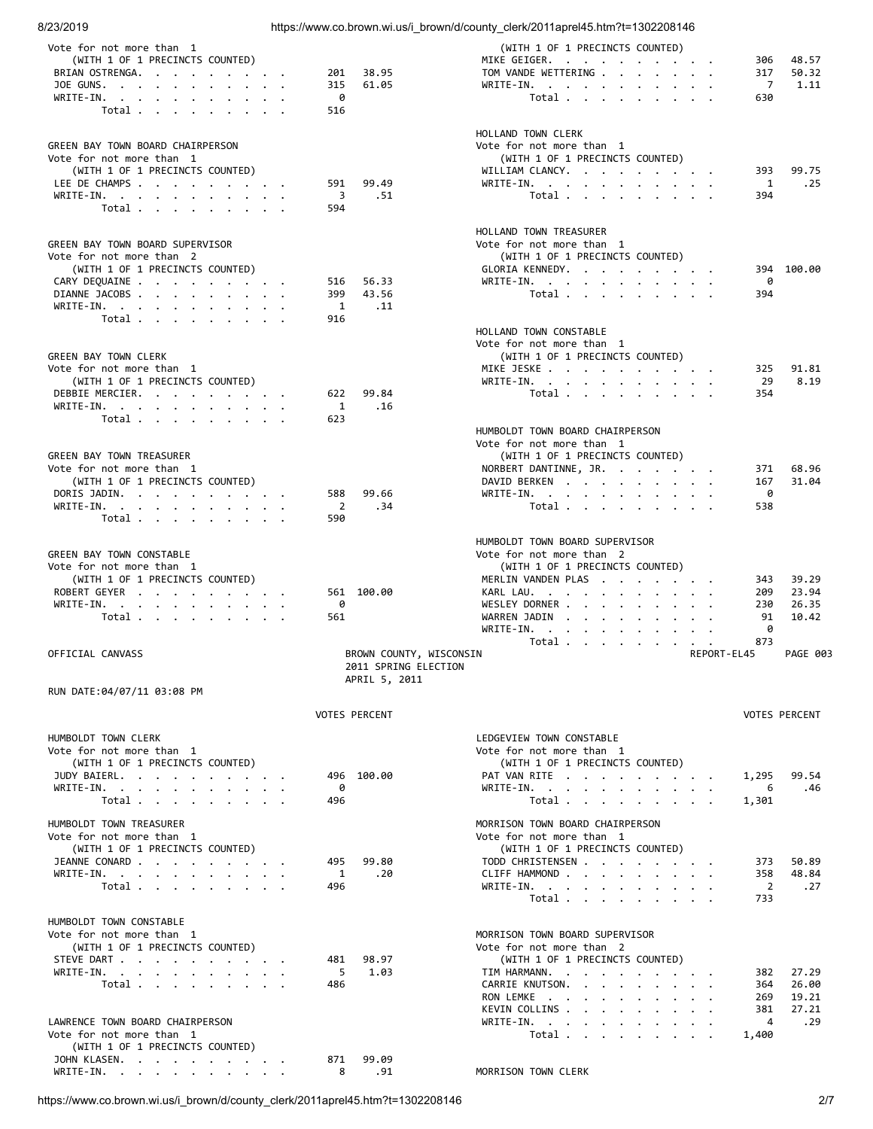| 8/23/2019                                                                                                                                                                                                                                         |          |                      | https://www.co.brown.wi.us/i_brown/d/county_clerk/2011aprel45.htm?t=1302208146                                                                             |                      |
|---------------------------------------------------------------------------------------------------------------------------------------------------------------------------------------------------------------------------------------------------|----------|----------------------|------------------------------------------------------------------------------------------------------------------------------------------------------------|----------------------|
| Vote for not more than 1                                                                                                                                                                                                                          |          |                      | (WITH 1 OF 1 PRECINCTS COUNTED)                                                                                                                            |                      |
| (WITH 1 OF 1 PRECINCTS COUNTED)                                                                                                                                                                                                                   |          |                      | MIKE GEIGER.<br>306                                                                                                                                        | 48.57                |
| BRIAN OSTRENGA.                                                                                                                                                                                                                                   | 201      | 38.95                | TOM VANDE WETTERING<br>317                                                                                                                                 | 50.32                |
| JOE GUNS.                                                                                                                                                                                                                                         | 315      | 61.05                | 7<br>WRITE-IN.                                                                                                                                             | 1.11                 |
| WRITE-IN.<br>Total $\cdots$ $\cdots$ $\cdots$                                                                                                                                                                                                     | 0<br>516 |                      | 630<br>Total                                                                                                                                               |                      |
|                                                                                                                                                                                                                                                   |          |                      |                                                                                                                                                            |                      |
|                                                                                                                                                                                                                                                   |          |                      | HOLLAND TOWN CLERK                                                                                                                                         |                      |
| GREEN BAY TOWN BOARD CHAIRPERSON                                                                                                                                                                                                                  |          |                      | Vote for not more than 1                                                                                                                                   |                      |
| Vote for not more than 1                                                                                                                                                                                                                          |          |                      | (WITH 1 OF 1 PRECINCTS COUNTED)                                                                                                                            |                      |
| (WITH 1 OF 1 PRECINCTS COUNTED)                                                                                                                                                                                                                   | 591      | 99.49                | WILLIAM CLANCY.<br>393<br>WRITE-IN.<br>1                                                                                                                   | 99.75<br>.25         |
| LEE DE CHAMPS<br>WRITE-IN.                                                                                                                                                                                                                        | 3        | .51                  | Total<br>394                                                                                                                                               |                      |
| Total $\cdots$ $\cdots$ $\cdots$                                                                                                                                                                                                                  | 594      |                      |                                                                                                                                                            |                      |
|                                                                                                                                                                                                                                                   |          |                      |                                                                                                                                                            |                      |
|                                                                                                                                                                                                                                                   |          |                      | HOLLAND TOWN TREASURER                                                                                                                                     |                      |
| GREEN BAY TOWN BOARD SUPERVISOR<br>Vote for not more than 2                                                                                                                                                                                       |          |                      | Vote for not more than 1<br>(WITH 1 OF 1 PRECINCTS COUNTED)                                                                                                |                      |
| (WITH 1 OF 1 PRECINCTS COUNTED)                                                                                                                                                                                                                   |          |                      | GLORIA KENNEDY.<br>394                                                                                                                                     | 100.00               |
| CARY DEQUAINE                                                                                                                                                                                                                                     | 516      | 56.33                | 0<br>WRITE-IN.                                                                                                                                             |                      |
| DIANNE JACOBS                                                                                                                                                                                                                                     | 399      | 43.56                | Total<br>394                                                                                                                                               |                      |
| WRITE-IN.                                                                                                                                                                                                                                         | 1        | .11                  |                                                                                                                                                            |                      |
| Total                                                                                                                                                                                                                                             | 916      |                      | HOLLAND TOWN CONSTABLE                                                                                                                                     |                      |
|                                                                                                                                                                                                                                                   |          |                      | Vote for not more than 1                                                                                                                                   |                      |
| GREEN BAY TOWN CLERK                                                                                                                                                                                                                              |          |                      | (WITH 1 OF 1 PRECINCTS COUNTED)                                                                                                                            |                      |
| Vote for not more than 1                                                                                                                                                                                                                          |          |                      | MIKE JESKE<br>325                                                                                                                                          | 91.81                |
| (WITH 1 OF 1 PRECINCTS COUNTED)                                                                                                                                                                                                                   |          |                      | WRITE-IN.<br>29                                                                                                                                            | 8.19                 |
| DEBBIE MERCIER.                                                                                                                                                                                                                                   | 622      | 99.84                | $\begin{tabular}{cccccccccccccc} Total & . & . & . & . & . & . & . & . & . \end{tabular}$<br>354                                                           |                      |
| WRITE-IN.<br>Total                                                                                                                                                                                                                                | 1<br>623 | .16                  |                                                                                                                                                            |                      |
|                                                                                                                                                                                                                                                   |          |                      | HUMBOLDT TOWN BOARD CHAIRPERSON                                                                                                                            |                      |
|                                                                                                                                                                                                                                                   |          |                      | Vote for not more than 1                                                                                                                                   |                      |
| GREEN BAY TOWN TREASURER                                                                                                                                                                                                                          |          |                      | (WITH 1 OF 1 PRECINCTS COUNTED)                                                                                                                            |                      |
| Vote for not more than 1                                                                                                                                                                                                                          |          |                      | NORBERT DANTINNE, JR.<br>371                                                                                                                               | 68.96                |
| (WITH 1 OF 1 PRECINCTS COUNTED)                                                                                                                                                                                                                   |          | 99.66                | DAVID BERKEN<br>167<br>0                                                                                                                                   | 31.04                |
| DORIS JADIN.<br>WRITE-IN.                                                                                                                                                                                                                         | 588<br>2 | .34                  | WRITE-IN.<br>Total<br>538                                                                                                                                  |                      |
| Total $\cdots$ $\cdots$ $\cdots$                                                                                                                                                                                                                  | 590      |                      |                                                                                                                                                            |                      |
|                                                                                                                                                                                                                                                   |          |                      |                                                                                                                                                            |                      |
|                                                                                                                                                                                                                                                   |          |                      | HUMBOLDT TOWN BOARD SUPERVISOR                                                                                                                             |                      |
| GREEN BAY TOWN CONSTABLE<br>Vote for not more than 1                                                                                                                                                                                              |          |                      | Vote for not more than 2<br>(WITH 1 OF 1 PRECINCTS COUNTED)                                                                                                |                      |
| (WITH 1 OF 1 PRECINCTS COUNTED)                                                                                                                                                                                                                   |          |                      | MERLIN VANDEN PLAS<br>343                                                                                                                                  | 39.29                |
| ROBERT GEYER                                                                                                                                                                                                                                      |          | 561 100.00           | KARL LAU.<br>209                                                                                                                                           | 23.94                |
| WRITE-IN.                                                                                                                                                                                                                                         | 0        |                      | WESLEY DORNER<br>230                                                                                                                                       | 26.35                |
| Total $\cdots$ $\cdots$ $\cdots$                                                                                                                                                                                                                  | 561      |                      | WARREN JADIN<br>91<br>$\sim$                                                                                                                               | 10.42                |
|                                                                                                                                                                                                                                                   |          |                      | 0<br>$WRITE-IN.$<br>Total $\cdots$ $\cdots$<br>873                                                                                                         |                      |
| OFFICIAL CANVASS                                                                                                                                                                                                                                  |          |                      | $\sim$ $\sim$<br>$\cdot$<br>$\cdot$<br>BROWN COUNTY, WISCONSIN<br>REPORT-EL45                                                                              | <b>PAGE 003</b>      |
|                                                                                                                                                                                                                                                   |          | 2011 SPRING ELECTION |                                                                                                                                                            |                      |
|                                                                                                                                                                                                                                                   |          | APRIL 5, 2011        |                                                                                                                                                            |                      |
| RUN DATE:04/07/11 03:08 PM                                                                                                                                                                                                                        |          |                      |                                                                                                                                                            |                      |
|                                                                                                                                                                                                                                                   |          | <b>VOTES PERCENT</b> |                                                                                                                                                            | <b>VOTES PERCENT</b> |
|                                                                                                                                                                                                                                                   |          |                      |                                                                                                                                                            |                      |
| HUMBOLDT TOWN CLERK                                                                                                                                                                                                                               |          |                      | LEDGEVIEW TOWN CONSTABLE                                                                                                                                   |                      |
| Vote for not more than 1                                                                                                                                                                                                                          |          |                      | Vote for not more than 1                                                                                                                                   |                      |
| (WITH 1 OF 1 PRECINCTS COUNTED)                                                                                                                                                                                                                   |          |                      | (WITH 1 OF 1 PRECINCTS COUNTED)                                                                                                                            |                      |
| JUDY BAIERL.<br>WRITE-IN.<br>the contract of the contract of the contract of the contract of the contract of the contract of the contract of                                                                                                      | 0        | 496 100.00           | PAT VAN RITE<br>1,295<br>WRITE-IN.<br>the contract of the contract of the contract of the contract of the contract of the contract of the contract of<br>6 | 99.54<br>.46         |
| Total                                                                                                                                                                                                                                             | 496      |                      | Total<br>1,301                                                                                                                                             |                      |
|                                                                                                                                                                                                                                                   |          |                      |                                                                                                                                                            |                      |
| HUMBOLDT TOWN TREASURER                                                                                                                                                                                                                           |          |                      | MORRISON TOWN BOARD CHAIRPERSON                                                                                                                            |                      |
| Vote for not more than 1                                                                                                                                                                                                                          |          |                      | Vote for not more than 1                                                                                                                                   |                      |
| (WITH 1 OF 1 PRECINCTS COUNTED)<br>JEANNE CONARD                                                                                                                                                                                                  | 495      | 99.80                | (WITH 1 OF 1 PRECINCTS COUNTED)<br>TODD CHRISTENSEN<br>373                                                                                                 | 50.89                |
| WRITE-IN.<br><u>in the second contract of the second contract of the second contract of the second contract of the second contract of the second contract of the second contract of the second contract of the second contract of the second </u> | 1        | .20                  | CLIFF HAMMOND<br>358                                                                                                                                       | 48.84                |
| Total                                                                                                                                                                                                                                             | 496      |                      | 2<br>WRITE-IN.                                                                                                                                             | .27                  |
|                                                                                                                                                                                                                                                   |          |                      | 733<br>Total                                                                                                                                               |                      |
| HUMBOLDT TOWN CONSTABLE                                                                                                                                                                                                                           |          |                      |                                                                                                                                                            |                      |
| Vote for not more than 1                                                                                                                                                                                                                          |          |                      | MORRISON TOWN BOARD SUPERVISOR                                                                                                                             |                      |
| (WITH 1 OF 1 PRECINCTS COUNTED)                                                                                                                                                                                                                   |          |                      | Vote for not more than 2                                                                                                                                   |                      |
| STEVE DART                                                                                                                                                                                                                                        | 481      | 98.97                | (WITH 1 OF 1 PRECINCTS COUNTED)                                                                                                                            |                      |
| WRITE-IN.                                                                                                                                                                                                                                         | 5        | 1.03                 | TIM HARMANN.<br>382                                                                                                                                        | 27.29                |
| Total $\cdots$ $\cdots$ $\cdots$                                                                                                                                                                                                                  | 486      |                      | CARRIE KNUTSON.<br>364                                                                                                                                     | 26.00                |
|                                                                                                                                                                                                                                                   |          |                      | RON LEMKE<br>269<br>KEVIN COLLINS<br>381                                                                                                                   | 19.21<br>27.21       |
| LAWRENCE TOWN BOARD CHAIRPERSON                                                                                                                                                                                                                   |          |                      | 4<br>WRITE-IN.                                                                                                                                             | .29                  |
| Vote for not more than 1                                                                                                                                                                                                                          |          |                      | Total<br>1,400                                                                                                                                             |                      |
| (WITH 1 OF 1 PRECINCTS COUNTED)                                                                                                                                                                                                                   |          |                      |                                                                                                                                                            |                      |
| JOHN KLASEN.                                                                                                                                                                                                                                      | 871      | 99.09                |                                                                                                                                                            |                      |

WRITE-IN. . . . . . . . . . . 8 .91 MORRISON TOWN CLERK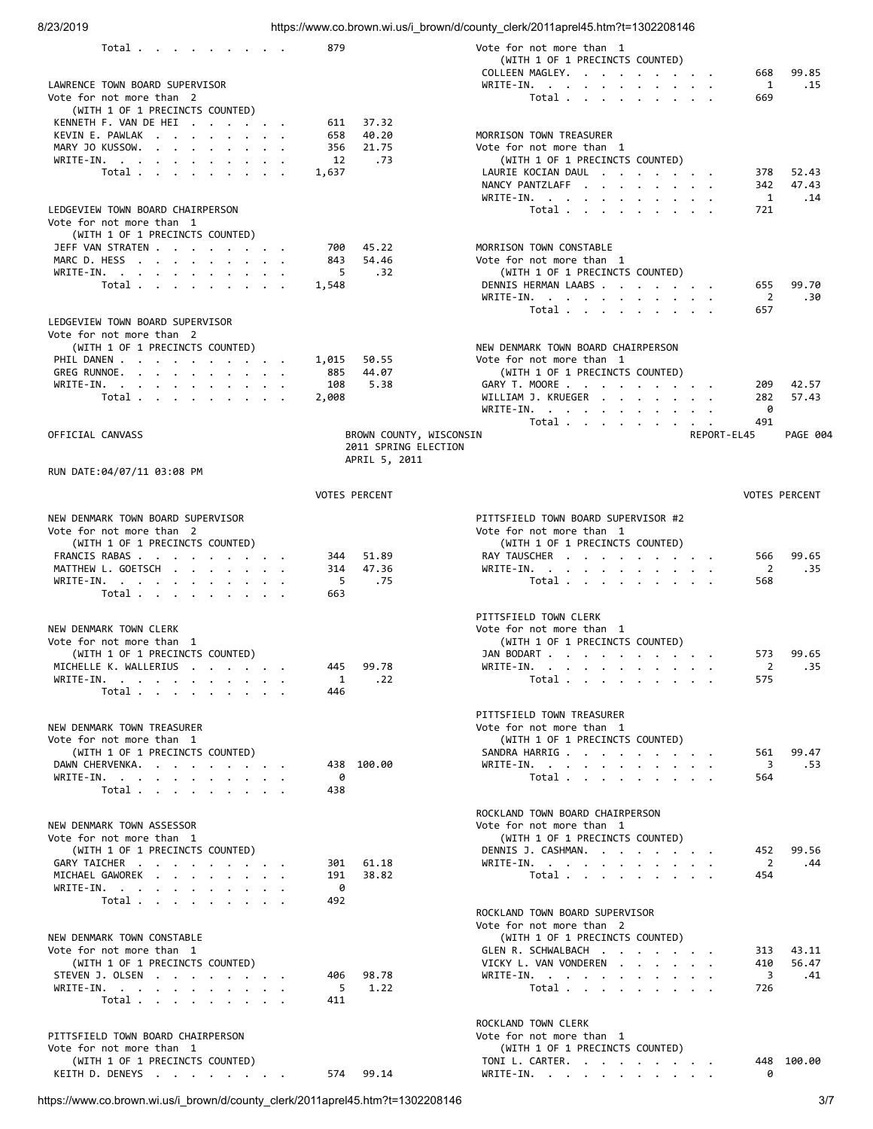| Total                                     | 879       |                              | Vote for not more than 1<br>(WITH 1 OF 1 PRECINCTS COUNTED) |             |                      |
|-------------------------------------------|-----------|------------------------------|-------------------------------------------------------------|-------------|----------------------|
|                                           |           |                              | COLLEEN MAGLEY.                                             | 668         | 99.85                |
| LAWRENCE TOWN BOARD SUPERVISOR            |           |                              | WRITE-IN.                                                   | 1           | .15                  |
| Vote for not more than 2                  |           |                              | Total                                                       | 669         |                      |
| (WITH 1 OF 1 PRECINCTS COUNTED)           |           |                              |                                                             |             |                      |
| KENNETH F. VAN DE HEI.                    | 611       | 37.32                        | MORRISON TOWN TREASURER                                     |             |                      |
| KEVIN E. PAWLAK<br>MARY JO KUSSOW.        | 658       | 40.20<br>21.75               |                                                             |             |                      |
| WRITE-IN.                                 | 356<br>12 | .73                          | Vote for not more than 1<br>(WITH 1 OF 1 PRECINCTS COUNTED) |             |                      |
| Total                                     | 1,637     |                              | LAURIE KOCIAN DAUL                                          | 378         | 52.43                |
|                                           |           |                              | NANCY PANTZLAFF                                             | 342         | 47.43                |
|                                           |           |                              | WRITE-IN.                                                   | 1           | .14                  |
| LEDGEVIEW TOWN BOARD CHAIRPERSON          |           |                              | Total                                                       | 721         |                      |
| Vote for not more than 1                  |           |                              |                                                             |             |                      |
| (WITH 1 OF 1 PRECINCTS COUNTED)           |           |                              |                                                             |             |                      |
| JEFF VAN STRATEN                          | 700       | 45.22                        | MORRISON TOWN CONSTABLE                                     |             |                      |
| MARC D. HESS                              | 843       | 54.46                        | Vote for not more than 1                                    |             |                      |
| WRITE-IN.                                 | 5         | .32                          | (WITH 1 OF 1 PRECINCTS COUNTED)                             |             |                      |
| Total $\cdots$ $\cdots$ $\cdots$          | 1,548     |                              | DENNIS HERMAN LAABS                                         | 655         | 99.70                |
|                                           |           |                              | WRITE-IN.                                                   | 2           | .30                  |
|                                           |           |                              | Total $\cdots$ $\cdots$ $\cdots$                            | 657         |                      |
| LEDGEVIEW TOWN BOARD SUPERVISOR           |           |                              |                                                             |             |                      |
| Vote for not more than 2                  |           |                              |                                                             |             |                      |
| (WITH 1 OF 1 PRECINCTS COUNTED)           |           |                              | NEW DENMARK TOWN BOARD CHAIRPERSON                          |             |                      |
| PHIL DANEN                                | 1,015     | 50.55                        | Vote for not more than 1                                    |             |                      |
| GREG RUNNOE.                              | 885       | 44.07                        | (WITH 1 OF 1 PRECINCTS COUNTED)                             |             |                      |
| WRITE-IN.                                 | 108       | 5.38                         | GARY T. MOORE                                               | 209         | 42.57                |
| Total                                     | 2,008     |                              | WILLIAM J. KRUEGER                                          | 282         | 57.43                |
|                                           |           |                              | WRITE-IN.                                                   | 0           |                      |
|                                           |           |                              | Total $\cdots$ $\cdots$ $\cdots$                            | 491         |                      |
| OFFICIAL CANVASS                          |           | BROWN COUNTY, WISCONSIN      |                                                             | REPORT-EL45 | <b>PAGE 004</b>      |
|                                           |           | 2011 SPRING ELECTION         |                                                             |             |                      |
|                                           |           | APRIL 5, 2011                |                                                             |             |                      |
| RUN DATE:04/07/11 03:08 PM                |           |                              |                                                             |             |                      |
|                                           |           | <b>VOTES PERCENT</b>         |                                                             |             | <b>VOTES PERCENT</b> |
|                                           |           |                              |                                                             |             |                      |
| NEW DENMARK TOWN BOARD SUPERVISOR         |           |                              | PITTSFIELD TOWN BOARD SUPERVISOR #2                         |             |                      |
| Vote for not more than 2                  |           |                              | Vote for not more than 1                                    |             |                      |
| (WITH 1 OF 1 PRECINCTS COUNTED)           |           |                              | (WITH 1 OF 1 PRECINCTS COUNTED)                             |             |                      |
| FRANCIS RABAS                             | 344       | 51.89                        | RAY TAUSCHER                                                | 566         | 99.65                |
| MATTHEW L. GOETSCH                        | 314       | 47.36                        | WRITE-IN.                                                   | 2           | .35                  |
| WRITE-IN.                                 | 5         | .75                          | Total $\cdots$ $\cdots$ $\cdots$                            | 568         |                      |
| Total $\ldots$ $\ldots$ $\ldots$ $\ldots$ | 663       |                              |                                                             |             |                      |
|                                           |           |                              |                                                             |             |                      |
|                                           |           |                              | PITTSFIELD TOWN CLERK                                       |             |                      |
| NEW DENMARK TOWN CLERK                    |           |                              | Vote for not more than 1                                    |             |                      |
| Vote for not more than 1                  |           |                              | (WITH 1 OF 1 PRECINCTS COUNTED)                             |             |                      |
| (WITH 1 OF 1 PRECINCTS COUNTED)           |           |                              | JAN BODART                                                  | 573         | 99.65                |
| MICHELLE K. WALLERIUS                     | 445       | 99.78                        | WRITE-IN.                                                   | 2           | .35                  |
| WRITE-IN.                                 | -1        | $\overline{\phantom{1}}$ .22 | Total                                                       | 575         |                      |
| Total                                     | 446       |                              |                                                             |             |                      |
|                                           |           |                              | PITTSFIELD TOWN TREASURER                                   |             |                      |
| NEW DENMARK TOWN TREASURER                |           |                              | Vote for not more than 1                                    |             |                      |
| Vote for not more than 1                  |           |                              | (WITH 1 OF 1 PRECINCTS COUNTED)                             |             |                      |
| (WITH 1 OF 1 PRECINCTS COUNTED)           |           |                              | SANDRA HARRIG.                                              | 561         | 99.47                |
| DAWN CHERVENKA.                           |           | 438 100.00                   | WRITE-IN.                                                   | 3           | .53                  |
| WRITE-IN, $\cdots$ , $\cdots$ , $\cdots$  | 0         |                              | Total                                                       | 564         |                      |
| Total $\cdots$ $\cdots$ $\cdots$          | 438       |                              |                                                             |             |                      |
|                                           |           |                              |                                                             |             |                      |
|                                           |           |                              | ROCKLAND TOWN BOARD CHAIRPERSON                             |             |                      |
| NEW DENMARK TOWN ASSESSOR                 |           |                              | Vote for not more than 1                                    |             |                      |
| Vote for not more than 1                  |           |                              | (WITH 1 OF 1 PRECINCTS COUNTED)                             |             |                      |
| (WITH 1 OF 1 PRECINCTS COUNTED)           |           |                              | DENNIS J. CASHMAN.                                          | 452         | 99.56                |
| GARY TAICHER                              | 301       | 61.18                        | WRITE-IN.                                                   | 2           | .44                  |
| MICHAEL GAWOREK                           | 191       | 38.82                        | Total $\cdots$ $\cdots$ $\cdots$                            | 454         |                      |
| WRITE-IN.                                 | 0         |                              |                                                             |             |                      |
| Total                                     | 492       |                              |                                                             |             |                      |
|                                           |           |                              | ROCKLAND TOWN BOARD SUPERVISOR                              |             |                      |
|                                           |           |                              | Vote for not more than 2                                    |             |                      |
| NEW DENMARK TOWN CONSTABLE                |           |                              | (WITH 1 OF 1 PRECINCTS COUNTED)                             |             |                      |
| Vote for not more than 1                  |           |                              | GLEN R. SCHWALBACH                                          | 313         | 43.11                |
| (WITH 1 OF 1 PRECINCTS COUNTED)           |           |                              | VICKY L. VAN VONDEREN                                       | 410         | 56.47                |
| STEVEN J. OLSEN                           | 406       | 98.78                        | WRITE-IN.                                                   | 3           | .41                  |
| WRITE-IN.                                 | 5         | 1.22                         | Total                                                       | 726         |                      |
| Total                                     | 411       |                              |                                                             |             |                      |
|                                           |           |                              |                                                             |             |                      |
|                                           |           |                              | ROCKLAND TOWN CLERK                                         |             |                      |
| PITTSFIELD TOWN BOARD CHAIRPERSON         |           |                              | Vote for not more than 1                                    |             |                      |
| Vote for not more than 1                  |           |                              | (WITH 1 OF 1 PRECINCTS COUNTED)                             |             |                      |
| (WITH 1 OF 1 PRECINCTS COUNTED)           |           |                              | TONI L. CARTER.                                             | ø           | 448 100.00           |
| KEITH D. DENEYS                           | 574       | 99.14                        | WRITE-IN.                                                   |             |                      |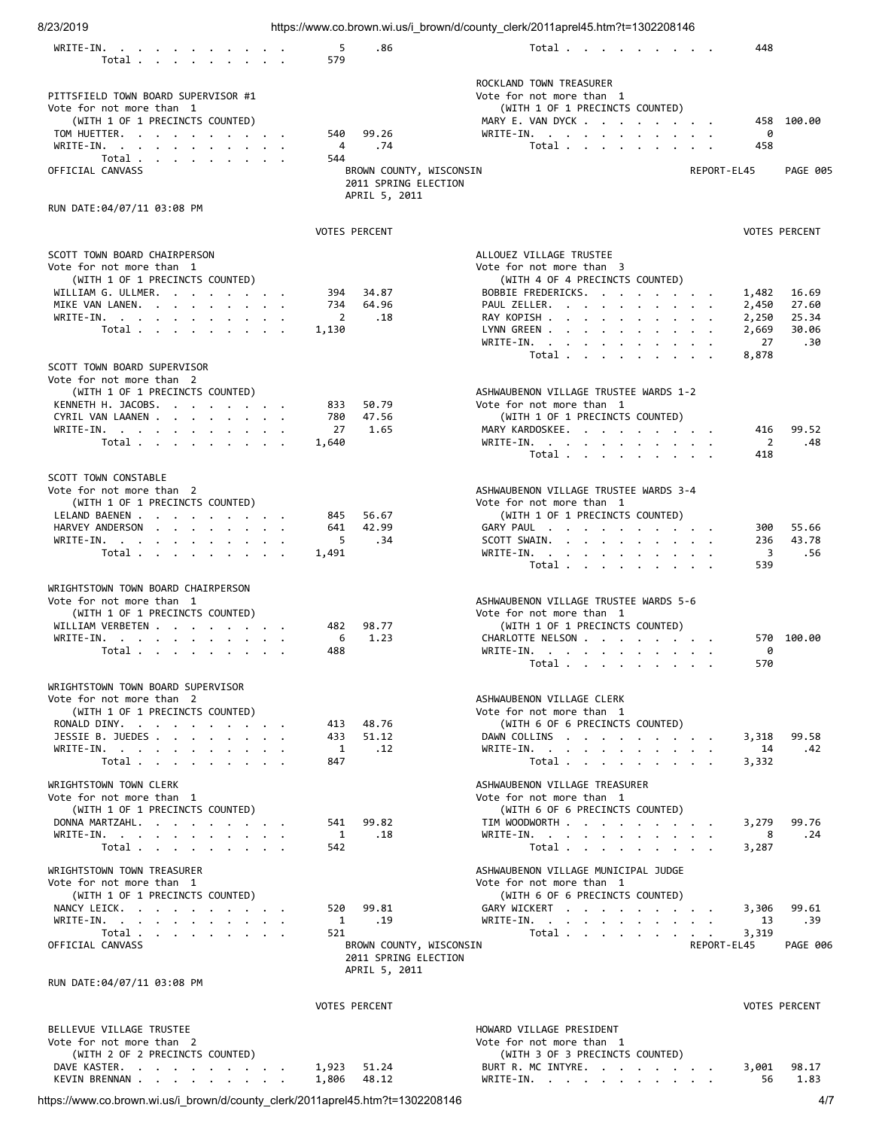| 8/23/2019                                                       |                     |                         | https://www.co.brown.wi.us/i brown/d/county clerk/2011aprel45.htm?t=1302208146 |             |                |                      |
|-----------------------------------------------------------------|---------------------|-------------------------|--------------------------------------------------------------------------------|-------------|----------------|----------------------|
| WRITE-IN.                                                       | 5                   | .86                     | Total $\cdots$ $\cdots$ $\cdots$                                               |             | 448            |                      |
| Total                                                           | 579                 |                         |                                                                                |             |                |                      |
|                                                                 |                     |                         | ROCKLAND TOWN TREASURER                                                        |             |                |                      |
| PITTSFIELD TOWN BOARD SUPERVISOR #1<br>Vote for not more than 1 |                     |                         | Vote for not more than 1<br>(WITH 1 OF 1 PRECINCTS COUNTED)                    |             |                |                      |
| (WITH 1 OF 1 PRECINCTS COUNTED)                                 |                     |                         | MARY E. VAN DYCK                                                               |             | 458            | 100.00               |
| TOM HUETTER.                                                    | 540                 | 99.26                   | WRITE-IN.                                                                      |             | 0              |                      |
| WRITE-IN.                                                       | 4                   | .74                     | Total                                                                          |             | 458            |                      |
| Total<br>OFFICIAL CANVASS                                       | 544                 | BROWN COUNTY, WISCONSIN |                                                                                | REPORT-EL45 |                | <b>PAGE 005</b>      |
|                                                                 |                     | 2011 SPRING ELECTION    |                                                                                |             |                |                      |
| RUN DATE: 04/07/11 03:08 PM                                     |                     | APRIL 5, 2011           |                                                                                |             |                |                      |
|                                                                 |                     |                         |                                                                                |             |                |                      |
|                                                                 |                     | <b>VOTES PERCENT</b>    |                                                                                |             |                | <b>VOTES PERCENT</b> |
| SCOTT TOWN BOARD CHAIRPERSON                                    |                     |                         | ALLOUEZ VILLAGE TRUSTEE                                                        |             |                |                      |
| Vote for not more than 1<br>(WITH 1 OF 1 PRECINCTS COUNTED)     |                     |                         | Vote for not more than 3<br>(WITH 4 OF 4 PRECINCTS COUNTED)                    |             |                |                      |
| WILLIAM G. ULLMER.                                              | 394                 | 34.87                   | BOBBIE FREDERICKS.                                                             |             | 1,482          | 16.69                |
| MIKE VAN LANEN.                                                 | 734                 | 64.96                   | PAUL ZELLER.                                                                   |             | 2,450          | 27.60                |
| WRITE-IN.                                                       | 2                   | .18                     | RAY KOPISH                                                                     |             | 2,250          | 25.34                |
| Total                                                           | 1,130               |                         | LYNN GREEN<br>WRITE-IN.                                                        |             | 2,669<br>27    | 30.06<br>.30         |
|                                                                 |                     |                         | Total                                                                          |             | 8,878          |                      |
| SCOTT TOWN BOARD SUPERVISOR                                     |                     |                         |                                                                                |             |                |                      |
| Vote for not more than 2                                        |                     |                         |                                                                                |             |                |                      |
| (WITH 1 OF 1 PRECINCTS COUNTED)<br>KENNETH H. JACOBS.           | 833                 | 50.79                   | ASHWAUBENON VILLAGE TRUSTEE WARDS 1-2<br>Vote for not more than 1              |             |                |                      |
| CYRIL VAN LAANEN                                                | 780                 | 47.56                   | (WITH 1 OF 1 PRECINCTS COUNTED)                                                |             |                |                      |
| WRITE-IN, , , , , , , , , , ,                                   | 27                  | 1.65                    | MARY KARDOSKEE.                                                                |             | 416            | 99.52                |
| Total $\cdots$ $\cdots$ $\cdots$                                | 1,640               |                         | WRITE-IN.                                                                      |             | $\overline{2}$ | .48                  |
|                                                                 |                     |                         | Total $\cdots$ $\cdots$ $\cdots$                                               |             | 418            |                      |
| SCOTT TOWN CONSTABLE                                            |                     |                         |                                                                                |             |                |                      |
| Vote for not more than 2                                        |                     |                         | ASHWAUBENON VILLAGE TRUSTEE WARDS 3-4                                          |             |                |                      |
| (WITH 1 OF 1 PRECINCTS COUNTED)<br>LELAND BAENEN                | 845                 | 56.67                   | Vote for not more than 1<br>(WITH 1 OF 1 PRECINCTS COUNTED)                    |             |                |                      |
| HARVEY ANDERSON                                                 | 641                 | 42.99                   | GARY PAUL                                                                      |             | 300            | 55.66                |
| WRITE-IN, $\cdots$ , $\cdots$ , $\cdots$                        | 5                   | .34                     | SCOTT SWAIN.                                                                   |             | 236            | 43.78                |
| Total $\cdots$ $\cdots$ $\cdots$                                | 1,491               |                         | WRITE-IN.                                                                      |             | 3              | .56                  |
|                                                                 |                     |                         | Total                                                                          |             | 539            |                      |
| WRIGHTSTOWN TOWN BOARD CHAIRPERSON                              |                     |                         |                                                                                |             |                |                      |
| Vote for not more than 1                                        |                     |                         | ASHWAUBENON VILLAGE TRUSTEE WARDS 5-6                                          |             |                |                      |
| (WITH 1 OF 1 PRECINCTS COUNTED)<br>WILLIAM VERBETEN             |                     |                         | Vote for not more than 1<br>(WITH 1 OF 1 PRECINCTS COUNTED)                    |             |                |                      |
| WRITE-IN.                                                       | 482<br>6            | 98.77<br>1.23           | CHARLOTTE NELSON                                                               |             |                | 570 100.00           |
| Total                                                           | 488                 |                         | WRITE-IN.                                                                      |             | 0              |                      |
|                                                                 |                     |                         | Total                                                                          |             | 570            |                      |
| WRIGHTSTOWN TOWN BOARD SUPERVISOR                               |                     |                         |                                                                                |             |                |                      |
| Vote for not more than 2                                        |                     |                         | ASHWAUBENON VILLAGE CLERK                                                      |             |                |                      |
| (WITH 1 OF 1 PRECINCTS COUNTED)                                 |                     |                         | Vote for not more than 1                                                       |             |                |                      |
| RONALD DINY.<br>JESSIE B. JUEDES                                | 413<br>433          | 48.76<br>51.12          | (WITH 6 OF 6 PRECINCTS COUNTED)                                                |             |                | 99.58                |
| WRITE-IN.                                                       | 1                   | .12                     | DAWN COLLINS<br>WRITE-IN.                                                      |             | 3,318<br>14    | .42                  |
| Total                                                           | 847                 |                         | Total                                                                          |             | 3,332          |                      |
| WRIGHTSTOWN TOWN CLERK                                          |                     |                         | ASHWAUBENON VILLAGE TREASURER                                                  |             |                |                      |
| Vote for not more than 1                                        |                     |                         | Vote for not more than 1                                                       |             |                |                      |
| (WITH 1 OF 1 PRECINCTS COUNTED)                                 |                     |                         | (WITH 6 OF 6 PRECINCTS COUNTED)                                                |             |                |                      |
| DONNA MARTZAHL.<br>WRITE-IN, , , , , , , , , , ,                | 541<br>$\mathbf{1}$ | 99.82<br>.18            | TIM WOODWORTH<br>WRITE-IN.                                                     |             | 3,279<br>8     | 99.76<br>.24         |
| Total                                                           | 542                 |                         | Total                                                                          |             | 3,287          |                      |
|                                                                 |                     |                         |                                                                                |             |                |                      |
| WRIGHTSTOWN TOWN TREASURER<br>Vote for not more than 1          |                     |                         | ASHWAUBENON VILLAGE MUNICIPAL JUDGE<br>Vote for not more than 1                |             |                |                      |
| (WITH 1 OF 1 PRECINCTS COUNTED)                                 |                     |                         | (WITH 6 OF 6 PRECINCTS COUNTED)                                                |             |                |                      |
| NANCY LEICK.                                                    | 520                 | 99.81                   | GARY WICKERT                                                                   |             | 3,306          | 99.61                |
| WRITE-IN.                                                       | $\mathbf{1}$        | .19                     | WRITE-IN.                                                                      |             | 13             | .39                  |
| Total<br>OFFICIAL CANVASS                                       | 521                 | BROWN COUNTY, WISCONSIN | Total                                                                          | REPORT-EL45 | 3,319          | <b>PAGE 006</b>      |
|                                                                 |                     | 2011 SPRING ELECTION    |                                                                                |             |                |                      |
|                                                                 |                     | APRIL 5, 2011           |                                                                                |             |                |                      |
| RUN DATE:04/07/11 03:08 PM                                      |                     |                         |                                                                                |             |                |                      |
|                                                                 |                     | <b>VOTES PERCENT</b>    |                                                                                |             |                | <b>VOTES PERCENT</b> |
|                                                                 |                     |                         |                                                                                |             |                |                      |
| BELLEVUE VILLAGE TRUSTEE                                        |                     |                         | HOWARD VILLAGE PRESIDENT                                                       |             |                |                      |
| Vote for not more than 2<br>(WITH 2 OF 2 PRECINCTS COUNTED)     |                     |                         | Vote for not more than 1<br>(WITH 3 OF 3 PRECINCTS COUNTED)                    |             |                |                      |
| DAVE KASTER.                                                    |                     | 1,923 51.24             | BURT R. MC INTYRE.                                                             |             | 3,001          | 98.17                |
| KEVIN BRENNAN                                                   | 1,806               | 48.12                   | WRITE-IN, $\cdots$ , $\cdots$ , $\cdots$                                       |             | 56             | 1.83                 |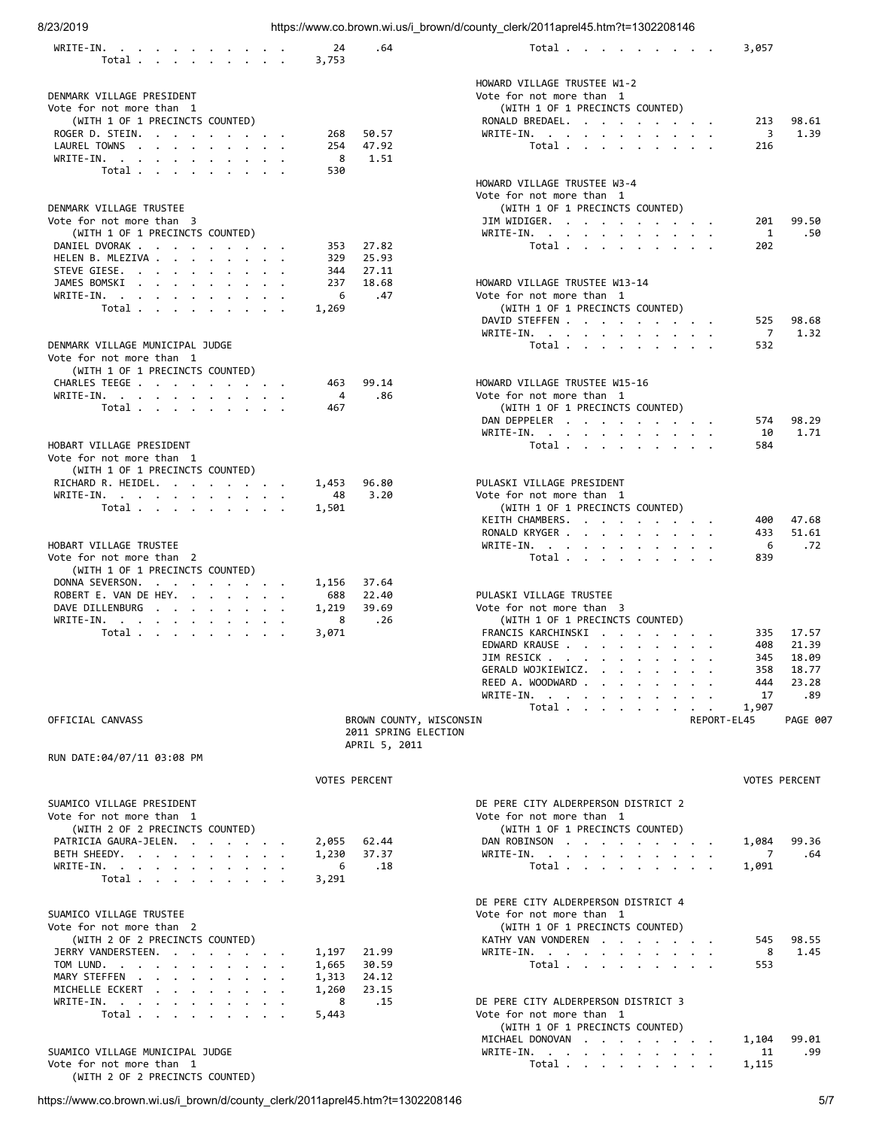| 8/23/2019 |  |  |
|-----------|--|--|

| WRITE-IN.<br>Total                                          |                                                                                                                                                                                                                                            | 24<br>3,753 | .64                  | 3,057<br>Total $\cdots$ $\cdots$ $\cdots$                                                                                                                                          |  |
|-------------------------------------------------------------|--------------------------------------------------------------------------------------------------------------------------------------------------------------------------------------------------------------------------------------------|-------------|----------------------|------------------------------------------------------------------------------------------------------------------------------------------------------------------------------------|--|
|                                                             |                                                                                                                                                                                                                                            |             |                      |                                                                                                                                                                                    |  |
| DENMARK VILLAGE PRESIDENT                                   |                                                                                                                                                                                                                                            |             |                      | HOWARD VILLAGE TRUSTEE W1-2<br>Vote for not more than 1                                                                                                                            |  |
| Vote for not more than 1                                    |                                                                                                                                                                                                                                            |             |                      | (WITH 1 OF 1 PRECINCTS COUNTED)                                                                                                                                                    |  |
| (WITH 1 OF 1 PRECINCTS COUNTED)                             |                                                                                                                                                                                                                                            |             |                      | RONALD BREDAEL.<br>98.61<br>213                                                                                                                                                    |  |
| ROGER D. STEIN.                                             |                                                                                                                                                                                                                                            | 268         | 50.57                | 1.39<br>WRITE-IN.<br>3                                                                                                                                                             |  |
| LAUREL TOWNS<br>WRITE-IN.                                   |                                                                                                                                                                                                                                            | 254<br>8    | 47.92<br>1.51        | Total $\cdots$ $\cdots$ $\cdots$<br>216                                                                                                                                            |  |
| Total $\cdots$ $\cdots$ $\cdots$                            |                                                                                                                                                                                                                                            | 530         |                      |                                                                                                                                                                                    |  |
|                                                             |                                                                                                                                                                                                                                            |             |                      | HOWARD VILLAGE TRUSTEE W3-4                                                                                                                                                        |  |
|                                                             |                                                                                                                                                                                                                                            |             |                      | Vote for not more than 1                                                                                                                                                           |  |
| DENMARK VILLAGE TRUSTEE                                     |                                                                                                                                                                                                                                            |             |                      | (WITH 1 OF 1 PRECINCTS COUNTED)                                                                                                                                                    |  |
| Vote for not more than 3<br>(WITH 1 OF 1 PRECINCTS COUNTED) |                                                                                                                                                                                                                                            |             |                      | 99.50<br>JIM WIDIGER.<br>201<br>1<br>.50<br>WRITE-IN.                                                                                                                              |  |
| DANIEL DVORAK                                               |                                                                                                                                                                                                                                            | 353         | 27.82                | Total<br>202                                                                                                                                                                       |  |
| HELEN B. MLEZIVA                                            |                                                                                                                                                                                                                                            | 329         | 25.93                |                                                                                                                                                                                    |  |
| STEVE GIESE.                                                |                                                                                                                                                                                                                                            | 344         | 27.11                |                                                                                                                                                                                    |  |
| JAMES BOMSKI.<br>WRITE-IN.                                  |                                                                                                                                                                                                                                            | 237<br>6    | 18.68<br>.47         | HOWARD VILLAGE TRUSTEE W13-14<br>Vote for not more than 1                                                                                                                          |  |
| the contract of the contract of the<br>Total                |                                                                                                                                                                                                                                            | 1,269       |                      | (WITH 1 OF 1 PRECINCTS COUNTED)                                                                                                                                                    |  |
|                                                             |                                                                                                                                                                                                                                            |             |                      | DAVID STEFFEN<br>525<br>98.68                                                                                                                                                      |  |
|                                                             |                                                                                                                                                                                                                                            |             |                      | WRITE-IN.<br>7<br>1.32                                                                                                                                                             |  |
| DENMARK VILLAGE MUNICIPAL JUDGE                             |                                                                                                                                                                                                                                            |             |                      | Total<br>532                                                                                                                                                                       |  |
| Vote for not more than 1<br>(WITH 1 OF 1 PRECINCTS COUNTED) |                                                                                                                                                                                                                                            |             |                      |                                                                                                                                                                                    |  |
| CHARLES TEEGE                                               |                                                                                                                                                                                                                                            | 463         | 99.14                | HOWARD VILLAGE TRUSTEE W15-16                                                                                                                                                      |  |
| WRITE-IN.                                                   |                                                                                                                                                                                                                                            | 4           | .86                  | Vote for not more than 1                                                                                                                                                           |  |
| Total                                                       |                                                                                                                                                                                                                                            | 467         |                      | (WITH 1 OF 1 PRECINCTS COUNTED)                                                                                                                                                    |  |
|                                                             |                                                                                                                                                                                                                                            |             |                      | DAN DEPPELER<br>98.29<br>574                                                                                                                                                       |  |
| HOBART VILLAGE PRESIDENT                                    |                                                                                                                                                                                                                                            |             |                      | WRITE-IN.<br>1.71<br>10<br>Total $\cdots$ $\cdots$ $\cdots$<br>584                                                                                                                 |  |
| Vote for not more than 1                                    |                                                                                                                                                                                                                                            |             |                      |                                                                                                                                                                                    |  |
| (WITH 1 OF 1 PRECINCTS COUNTED)                             |                                                                                                                                                                                                                                            |             |                      |                                                                                                                                                                                    |  |
| RICHARD R. HEIDEL.                                          |                                                                                                                                                                                                                                            | 1,453       | 96.80                | PULASKI VILLAGE PRESIDENT                                                                                                                                                          |  |
| WRITE-IN.<br>Total                                          |                                                                                                                                                                                                                                            | 48          | 3.20                 | Vote for not more than 1<br>(WITH 1 OF 1 PRECINCTS COUNTED)                                                                                                                        |  |
|                                                             |                                                                                                                                                                                                                                            | 1,501       |                      | 47.68<br>KEITH CHAMBERS.<br>400                                                                                                                                                    |  |
|                                                             |                                                                                                                                                                                                                                            |             |                      | 51.61<br>RONALD KRYGER<br>433                                                                                                                                                      |  |
| HOBART VILLAGE TRUSTEE                                      |                                                                                                                                                                                                                                            |             |                      | 6<br>.72<br>WRITE-IN.                                                                                                                                                              |  |
| Vote for not more than 2                                    |                                                                                                                                                                                                                                            |             |                      | 839<br>Total                                                                                                                                                                       |  |
| (WITH 1 OF 1 PRECINCTS COUNTED)<br>DONNA SEVERSON.          |                                                                                                                                                                                                                                            | 1,156       | 37.64                |                                                                                                                                                                                    |  |
| ROBERT E. VAN DE HEY.                                       |                                                                                                                                                                                                                                            | 688         | 22.40                | PULASKI VILLAGE TRUSTEE                                                                                                                                                            |  |
| DAVE DILLENBURG                                             |                                                                                                                                                                                                                                            | 1,219       | 39.69                | Vote for not more than 3                                                                                                                                                           |  |
| $WRITE-IN.$                                                 |                                                                                                                                                                                                                                            | 8           | .26                  | (WITH 1 OF 1 PRECINCTS COUNTED)                                                                                                                                                    |  |
| Total $\cdots$ $\cdots$                                     |                                                                                                                                                                                                                                            | 3,071       |                      | FRANCIS KARCHINSKI<br>17.57<br>335<br>EDWARD KRAUSE<br>21.39<br>408                                                                                                                |  |
|                                                             |                                                                                                                                                                                                                                            |             |                      | JIM RESICK<br>18.09<br>345                                                                                                                                                         |  |
|                                                             |                                                                                                                                                                                                                                            |             |                      | GERALD WOJKIEWICZ.<br>358<br>18.77                                                                                                                                                 |  |
|                                                             |                                                                                                                                                                                                                                            |             |                      | REED A. WOODWARD<br>23.28<br>444                                                                                                                                                   |  |
|                                                             |                                                                                                                                                                                                                                            |             |                      | .89<br>WRITE-IN.<br>17<br>the contract of the contract of the contract of the contract of the contract of the contract of the contract of<br>$Total \cdot \cdot \cdot \cdot \cdot$ |  |
| OFFICIAL CANVASS                                            |                                                                                                                                                                                                                                            |             |                      | 1,907<br>BROWN COUNTY, WISCONSIN<br><b>PAGE 007</b><br>REPORT-EL45                                                                                                                 |  |
|                                                             |                                                                                                                                                                                                                                            |             |                      | 2011 SPRING ELECTION                                                                                                                                                               |  |
|                                                             |                                                                                                                                                                                                                                            |             | APRIL 5, 2011        |                                                                                                                                                                                    |  |
| RUN DATE:04/07/11 03:08 PM                                  |                                                                                                                                                                                                                                            |             |                      |                                                                                                                                                                                    |  |
|                                                             |                                                                                                                                                                                                                                            |             | <b>VOTES PERCENT</b> | <b>VOTES PERCENT</b>                                                                                                                                                               |  |
|                                                             |                                                                                                                                                                                                                                            |             |                      |                                                                                                                                                                                    |  |
| SUAMICO VILLAGE PRESIDENT<br>Vote for not more than 1       |                                                                                                                                                                                                                                            |             |                      | DE PERE CITY ALDERPERSON DISTRICT 2<br>Vote for not more than 1                                                                                                                    |  |
| (WITH 2 OF 2 PRECINCTS COUNTED)                             |                                                                                                                                                                                                                                            |             |                      | (WITH 1 OF 1 PRECINCTS COUNTED)                                                                                                                                                    |  |
| PATRICIA GAURA-JELEN.                                       |                                                                                                                                                                                                                                            | 2,055       | 62.44                | DAN ROBINSON<br>1,084<br>99.36                                                                                                                                                     |  |
| BETH SHEEDY.                                                |                                                                                                                                                                                                                                            | 1,230       | 37.37                | WRITE-IN.<br>7<br>.64<br>the contract of the contract of the contract of the contract of the contract of the contract of the contract of                                           |  |
| WRITE-IN.<br>Total                                          |                                                                                                                                                                                                                                            | 6<br>3,291  | .18                  | Total<br>1,091                                                                                                                                                                     |  |
|                                                             |                                                                                                                                                                                                                                            |             |                      |                                                                                                                                                                                    |  |
|                                                             |                                                                                                                                                                                                                                            |             |                      | DE PERE CITY ALDERPERSON DISTRICT 4                                                                                                                                                |  |
| SUAMICO VILLAGE TRUSTEE                                     |                                                                                                                                                                                                                                            |             |                      | Vote for not more than 1                                                                                                                                                           |  |
| Vote for not more than 2<br>(WITH 2 OF 2 PRECINCTS COUNTED) |                                                                                                                                                                                                                                            |             |                      | (WITH 1 OF 1 PRECINCTS COUNTED)<br>KATHY VAN VONDEREN<br>545<br>98.55                                                                                                              |  |
| JERRY VANDERSTEEN.                                          |                                                                                                                                                                                                                                            | 1,197       | 21.99                | 8<br>WRITE-IN.<br>1.45                                                                                                                                                             |  |
| TOM LUND.                                                   |                                                                                                                                                                                                                                            | 1,665       | 30.59                | 553<br>Total                                                                                                                                                                       |  |
| MARY STEFFEN.                                               |                                                                                                                                                                                                                                            | 1,313       | 24.12                |                                                                                                                                                                                    |  |
| MICHELLE ECKERT                                             | <b><i>Charles Committee Committee Committee Committee Committee Committee Committee Committee Committee Committee Committee Committee Committee Committee Committee Committee Committee Committee Committee Committee Committee Co</i></b> | 1,260       | 23.15                |                                                                                                                                                                                    |  |
| WRITE-IN, , , , , , , , ,<br>Total                          |                                                                                                                                                                                                                                            | 8<br>5,443  | .15                  | DE PERE CITY ALDERPERSON DISTRICT 3<br>Vote for not more than 1                                                                                                                    |  |
|                                                             |                                                                                                                                                                                                                                            |             |                      | (WITH 1 OF 1 PRECINCTS COUNTED)                                                                                                                                                    |  |
|                                                             |                                                                                                                                                                                                                                            |             |                      | MICHAEL DONOVAN<br>99.01<br>1,104                                                                                                                                                  |  |
| SUAMICO VILLAGE MUNICIPAL JUDGE                             |                                                                                                                                                                                                                                            |             |                      | .99<br>WRITE-IN.<br>11                                                                                                                                                             |  |
| Vote for not more than 1<br>(WITH 2 OF 2 PRECINCTS COUNTED) |                                                                                                                                                                                                                                            |             |                      | Total<br>1,115                                                                                                                                                                     |  |
|                                                             |                                                                                                                                                                                                                                            |             |                      |                                                                                                                                                                                    |  |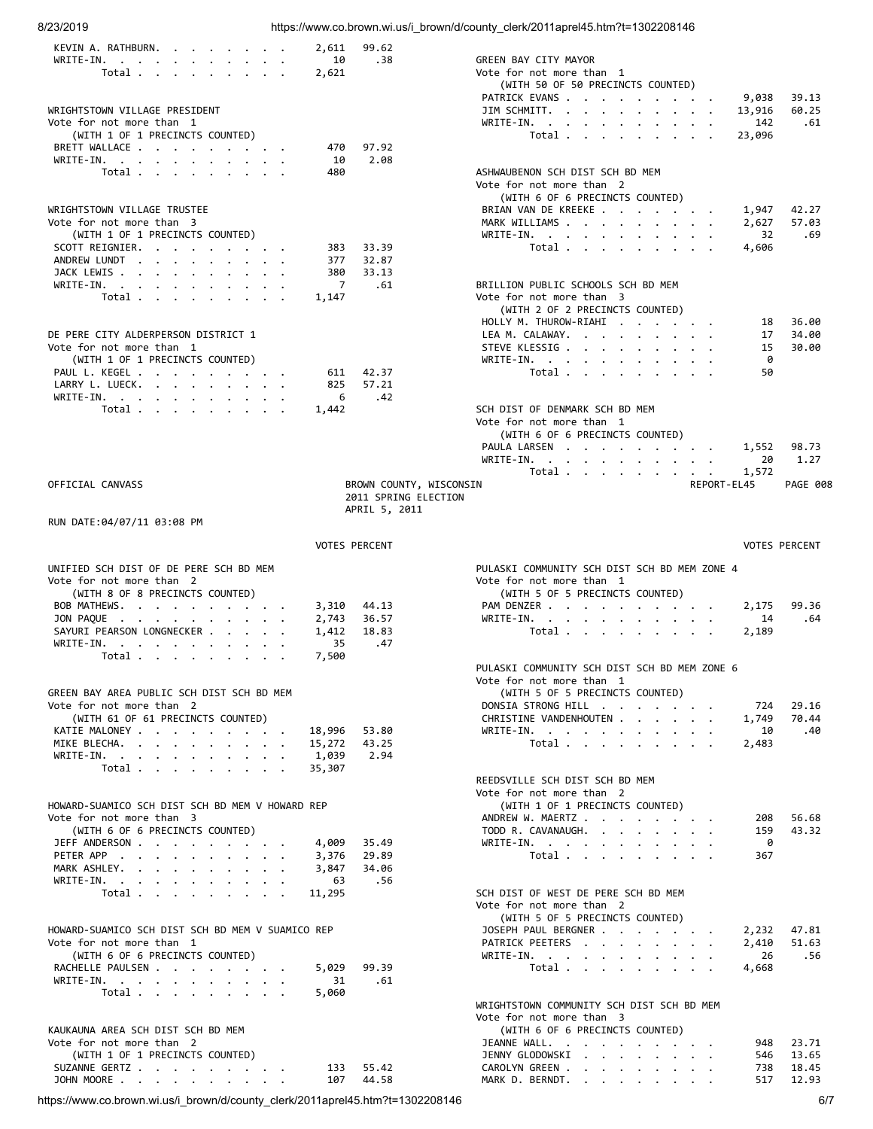| 8/23/2019                                                      |                |                                                 | https://www.co.brown.wi.us/i brown/d/county clerk/2011aprel45.htm?t=1302208146 |                 |
|----------------------------------------------------------------|----------------|-------------------------------------------------|--------------------------------------------------------------------------------|-----------------|
| KEVIN A. RATHBURN.                                             | 2,611          | 99.62                                           |                                                                                |                 |
| WRITE-IN.                                                      | 10             | .38                                             | GREEN BAY CITY MAYOR                                                           |                 |
| Total                                                          | 2,621          |                                                 | Vote for not more than 1                                                       |                 |
|                                                                |                |                                                 | (WITH 50 OF 50 PRECINCTS COUNTED)<br>PATRICK EVANS<br>9,038                    | 39.13           |
| WRIGHTSTOWN VILLAGE PRESIDENT                                  |                |                                                 | JIM SCHMITT.<br>13,916                                                         | 60.25           |
| Vote for not more than 1                                       |                |                                                 | WRITE-IN.<br>142                                                               | .61             |
| (WITH 1 OF 1 PRECINCTS COUNTED)                                |                |                                                 | Total<br>23,096                                                                |                 |
| BRETT WALLACE                                                  | 470            | 97.92<br>2.08                                   |                                                                                |                 |
| WRITE-IN.<br>Total                                             | 10<br>480      |                                                 | ASHWAUBENON SCH DIST SCH BD MEM                                                |                 |
|                                                                |                |                                                 | Vote for not more than 2                                                       |                 |
|                                                                |                |                                                 | (WITH 6 OF 6 PRECINCTS COUNTED)                                                |                 |
| WRIGHTSTOWN VILLAGE TRUSTEE                                    |                |                                                 | BRIAN VAN DE KREEKE<br>1,947                                                   | 42.27           |
| Vote for not more than 3<br>(WITH 1 OF 1 PRECINCTS COUNTED)    |                |                                                 | MARK WILLIAMS<br>2,627<br>WRITE-IN.<br>32                                      | 57.03<br>.69    |
| SCOTT REIGNIER.                                                | 383            | 33.39                                           | Total<br>4,606                                                                 |                 |
| ANDREW LUNDT                                                   | 377            | 32.87                                           |                                                                                |                 |
| JACK LEWIS                                                     | 380            | 33.13                                           |                                                                                |                 |
| WRITE-IN.                                                      | 7              | .61                                             | BRILLION PUBLIC SCHOOLS SCH BD MEM                                             |                 |
| Total $\cdots$ $\cdots$ $\cdots$                               | 1,147          |                                                 | Vote for not more than 3<br>(WITH 2 OF 2 PRECINCTS COUNTED)                    |                 |
|                                                                |                |                                                 | HOLLY M. THUROW-RIAHI<br>18                                                    | 36.00           |
| DE PERE CITY ALDERPERSON DISTRICT 1                            |                |                                                 | LEA M. CALAWAY.<br>17                                                          | 34.00           |
| Vote for not more than 1                                       |                |                                                 | STEVE KLESSIG<br>15                                                            | 30.00           |
| (WITH 1 OF 1 PRECINCTS COUNTED)<br>PAUL L. KEGEL               | 611            | 42.37                                           | WRITE-IN.<br>0<br>Total<br>50                                                  |                 |
| LARRY L. LUECK.                                                | 825            | 57.21                                           |                                                                                |                 |
| WRITE-IN.                                                      | 6              | .42                                             |                                                                                |                 |
| Total                                                          | 1,442          |                                                 | SCH DIST OF DENMARK SCH BD MEM                                                 |                 |
|                                                                |                |                                                 | Vote for not more than 1<br>(WITH 6 OF 6 PRECINCTS COUNTED)                    |                 |
|                                                                |                |                                                 | PAULA LARSEN<br>1,552                                                          | 98.73           |
|                                                                |                |                                                 | WRITE-IN.<br>20                                                                | 1.27            |
|                                                                |                |                                                 | Total<br>1,572                                                                 |                 |
| OFFICIAL CANVASS                                               |                | BROWN COUNTY, WISCONSIN<br>2011 SPRING ELECTION | REPORT-EL45                                                                    | <b>PAGE 008</b> |
|                                                                |                | APRIL 5, 2011                                   |                                                                                |                 |
| RUN DATE:04/07/11 03:08 PM                                     |                |                                                 |                                                                                |                 |
|                                                                |                | <b>VOTES PERCENT</b>                            | <b>VOTES PERCENT</b>                                                           |                 |
|                                                                |                |                                                 |                                                                                |                 |
| UNIFIED SCH DIST OF DE PERE SCH BD MEM                         |                |                                                 |                                                                                |                 |
|                                                                |                |                                                 | PULASKI COMMUNITY SCH DIST SCH BD MEM ZONE 4                                   |                 |
| Vote for not more than 2                                       |                |                                                 | Vote for not more than 1                                                       |                 |
| (WITH 8 OF 8 PRECINCTS COUNTED)<br>BOB MATHEWS.                | 3,310          | 44.13                                           | (WITH 5 OF 5 PRECINCTS COUNTED)<br>PAM DENZER<br>2,175                         | 99.36           |
| JON PAQUE                                                      | 2,743          | 36.57                                           | WRITE-IN.<br>14                                                                | .64             |
| SAYURI PEARSON LONGNECKER                                      | 1,412          | 18.83                                           | Total $\cdots$ $\cdots$<br>2,189                                               |                 |
| WRITE-IN.                                                      | 35             | .47                                             |                                                                                |                 |
| Total                                                          | 7,500          |                                                 | PULASKI COMMUNITY SCH DIST SCH BD MEM ZONE 6                                   |                 |
|                                                                |                |                                                 | Vote for not more than 1                                                       |                 |
| GREEN BAY AREA PUBLIC SCH DIST SCH BD MEM                      |                |                                                 | (WITH 5 OF 5 PRECINCTS COUNTED)                                                |                 |
| Vote for not more than 2                                       |                |                                                 | DONSIA STRONG HILL<br>724                                                      | 29.16           |
| (WITH 61 OF 61 PRECINCTS COUNTED)<br>KATIE MALONEY             | 18,996         | 53.80                                           | CHRISTINE VANDENHOUTEN<br>1,749<br>WRITE-IN.<br>10                             | 70.44<br>.40    |
| MIKE BLECHA.                                                   | 15,272         | 43.25                                           | Total<br>2,483                                                                 |                 |
| WRITE-IN.                                                      | 1,039          | 2.94                                            |                                                                                |                 |
| Total                                                          | 35,307         |                                                 |                                                                                |                 |
|                                                                |                |                                                 | REEDSVILLE SCH DIST SCH BD MEM<br>Vote for not more than 2                     |                 |
| HOWARD-SUAMICO SCH DIST SCH BD MEM V HOWARD REP                |                |                                                 | (WITH 1 OF 1 PRECINCTS COUNTED)                                                |                 |
| Vote for not more than 3                                       |                |                                                 | ANDREW W. MAERTZ<br>208                                                        | 56.68           |
| (WITH 6 OF 6 PRECINCTS COUNTED)                                |                |                                                 | TODD R. CAVANAUGH.<br>159                                                      | 43.32           |
| JEFF ANDERSON<br>PETER APP                                     | 4,009<br>3,376 | 35.49<br>29.89                                  | 0<br>WRITE-IN.<br>Total<br>367                                                 |                 |
| MARK ASHLEY.                                                   | 3,847          | 34.06                                           |                                                                                |                 |
| WRITE-IN.                                                      | 63             | .56                                             |                                                                                |                 |
| Total $\cdots$ $\cdots$ $\cdots$                               | 11,295         |                                                 | SCH DIST OF WEST DE PERE SCH BD MEM                                            |                 |
|                                                                |                |                                                 | Vote for not more than 2                                                       |                 |
| HOWARD-SUAMICO SCH DIST SCH BD MEM V SUAMICO REP               |                |                                                 | (WITH 5 OF 5 PRECINCTS COUNTED)<br>JOSEPH PAUL BERGNER<br>2,232                | 47.81           |
| Vote for not more than 1                                       |                |                                                 | PATRICK PEETERS<br>2,410                                                       | 51.63           |
| (WITH 6 OF 6 PRECINCTS COUNTED)                                |                |                                                 | WRITE-IN.<br>26                                                                | .56             |
| RACHELLE PAULSEN                                               | 5,029          | 99.39                                           | Total<br>4,668                                                                 |                 |
| WRITE-IN.<br>Total                                             | 31<br>5,060    | .61                                             |                                                                                |                 |
|                                                                |                |                                                 | WRIGHTSTOWN COMMUNITY SCH DIST SCH BD MEM                                      |                 |
|                                                                |                |                                                 | Vote for not more than 3                                                       |                 |
| KAUKAUNA AREA SCH DIST SCH BD MEM                              |                |                                                 | (WITH 6 OF 6 PRECINCTS COUNTED)                                                |                 |
| Vote for not more than 2                                       |                |                                                 | JEANNE WALL.<br>948                                                            | 23.71           |
| (WITH 1 OF 1 PRECINCTS COUNTED)<br>SUZANNE GERTZ<br>JOHN MOORE | 133            | 55.42                                           | JENNY GLODOWSKI.<br>546<br>CAROLYNGREEN.<br>738                                | 13.65<br>18.45  |